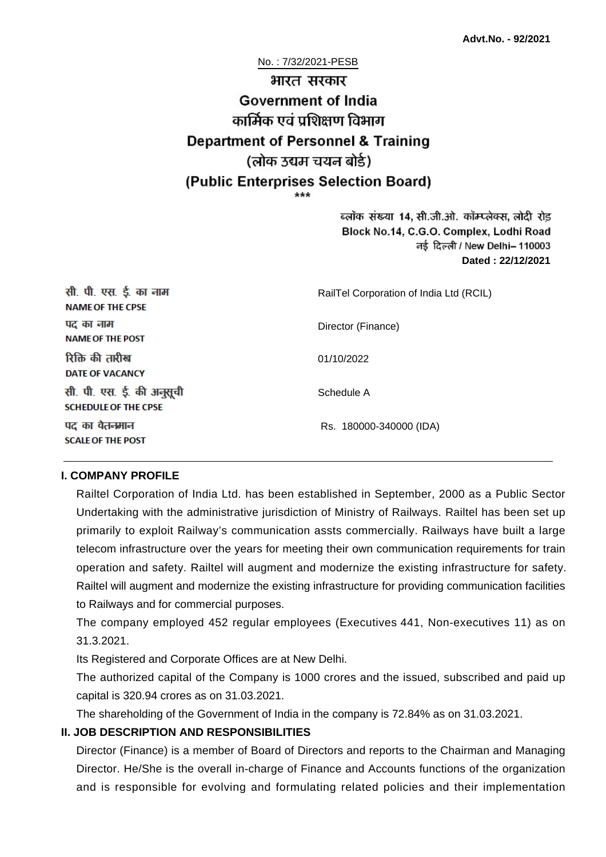#### No. : 7/32/2021-PESB

# भारत सरकार **Government of India** कार्मिक एवं पशिक्षण विभाग **Department of Personnel & Training** (लोक उद्यम चयन बोर्ड) (Public Enterprises Selection Board)

ब्लॉक संख्या 14, सी.जी.ओ. कॉम्प्लेक्स, लोदी रोड Block No.14, C.G.O. Complex, Lodhi Road ਰई दिल्ली / New Delhi– 110003 **Dated : 22/12/2021**

| सी. पी. एस. ई. का नाम<br><b>NAME OF THE CPSE</b>         | RailTel Corporation of India Ltd (RCIL) |
|----------------------------------------------------------|-----------------------------------------|
| पद का नाम<br><b>NAME OF THE POST</b>                     | Director (Finance)                      |
| रिक्ति की तारीख<br><b>DATE OF VACANCY</b>                | 01/10/2022                              |
| सी. पी. एस. ई. की अनुसूची<br><b>SCHEDULE OF THE CPSE</b> | Schedule A                              |
| पद का वेतनमान<br><b>SCALE OF THE POST</b>                | Rs. 180000-340000 (IDA)                 |

#### **I. COMPANY PROFILE**

Railtel Corporation of India Ltd. has been established in September, 2000 as a Public Sector Undertaking with the administrative jurisdiction of Ministry of Railways. Railtel has been set up primarily to exploit Railway's communication assts commercially. Railways have built a large telecom infrastructure over the years for meeting their own communication requirements for train operation and safety. Railtel will augment and modernize the existing infrastructure for safety. Railtel will augment and modernize the existing infrastructure for providing communication facilities to Railways and for commercial purposes.

The company employed 452 regular employees (Executives 441, Non-executives 11) as on 31.3.2021.

Its Registered and Corporate Offices are at New Delhi.

The authorized capital of the Company is 1000 crores and the issued, subscribed and paid up capital is 320.94 crores as on 31.03.2021.

The shareholding of the Government of India in the company is 72.84% as on 31.03.2021.

#### **II. JOB DESCRIPTION AND RESPONSIBILITIES**

Director (Finance) is a member of Board of Directors and reports to the Chairman and Managing Director. He/She is the overall in-charge of Finance and Accounts functions of the organization and is responsible for evolving and formulating related policies and their implementation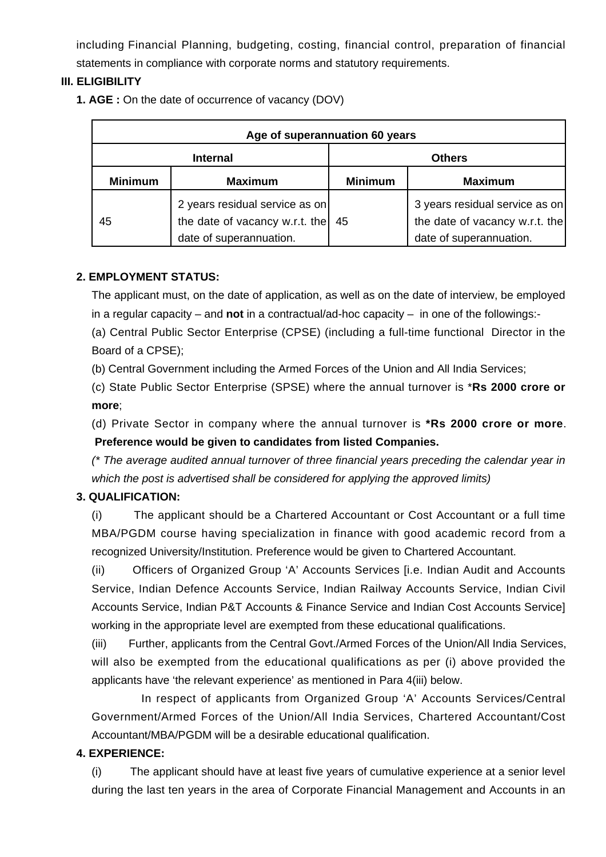including Financial Planning, budgeting, costing, financial control, preparation of financial statements in compliance with corporate norms and statutory requirements.

## **III. ELIGIBILITY**

**1. AGE :** On the date of occurrence of vacancy (DOV)

| Age of superannuation 60 years |                                                                                             |                |                                                                                             |  |
|--------------------------------|---------------------------------------------------------------------------------------------|----------------|---------------------------------------------------------------------------------------------|--|
| <b>Internal</b>                |                                                                                             | <b>Others</b>  |                                                                                             |  |
| <b>Minimum</b>                 | <b>Maximum</b>                                                                              | <b>Minimum</b> | <b>Maximum</b>                                                                              |  |
| 45                             | 2 years residual service as on<br>the date of vacancy w.r.t. the<br>date of superannuation. | 45             | 3 years residual service as on<br>the date of vacancy w.r.t. the<br>date of superannuation. |  |

### **2. EMPLOYMENT STATUS:**

The applicant must, on the date of application, as well as on the date of interview, be employed in a regular capacity – and **not** in a contractual/ad-hoc capacity – in one of the followings:-

(a) Central Public Sector Enterprise (CPSE) (including a full-time functional Director in the Board of a CPSE);

(b) Central Government including the Armed Forces of the Union and All India Services;

(c) State Public Sector Enterprise (SPSE) where the annual turnover is \***Rs 2000 crore or more**;

(d) Private Sector in company where the annual turnover is **\*Rs 2000 crore or more**.  **Preference would be given to candidates from listed Companies.**

(\* The average audited annual turnover of three financial years preceding the calendar year in which the post is advertised shall be considered for applying the approved limits)

### **3. QUALIFICATION:**

(i) The applicant should be a Chartered Accountant or Cost Accountant or a full time MBA/PGDM course having specialization in finance with good academic record from a recognized University/Institution. Preference would be given to Chartered Accountant.

(ii) Officers of Organized Group 'A' Accounts Services [i.e. Indian Audit and Accounts Service, Indian Defence Accounts Service, Indian Railway Accounts Service, Indian Civil Accounts Service, Indian P&T Accounts & Finance Service and Indian Cost Accounts Service] working in the appropriate level are exempted from these educational qualifications.

(iii) Further, applicants from the Central Govt./Armed Forces of the Union/All India Services, will also be exempted from the educational qualifications as per (i) above provided the applicants have 'the relevant experience' as mentioned in Para 4(iii) below.

 In respect of applicants from Organized Group 'A' Accounts Services/Central Government/Armed Forces of the Union/All India Services, Chartered Accountant/Cost Accountant/MBA/PGDM will be a desirable educational qualification.

### **4. EXPERIENCE:**

(i) The applicant should have at least five years of cumulative experience at a senior level during the last ten years in the area of Corporate Financial Management and Accounts in an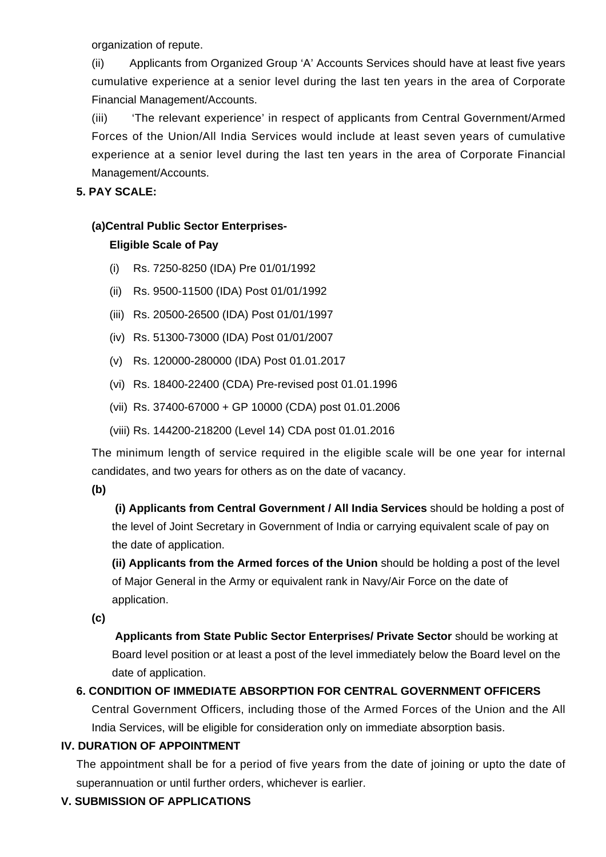organization of repute.

(ii) Applicants from Organized Group 'A' Accounts Services should have at least five years cumulative experience at a senior level during the last ten years in the area of Corporate Financial Management/Accounts.

(iii) 'The relevant experience' in respect of applicants from Central Government/Armed Forces of the Union/All India Services would include at least seven years of cumulative experience at a senior level during the last ten years in the area of Corporate Financial Management/Accounts.

### **5. PAY SCALE:**

# **(a)Central Public Sector Enterprises-**

## **Eligible Scale of Pay**

- (i) Rs. 7250-8250 (IDA) Pre 01/01/1992
- (ii) Rs. 9500-11500 (IDA) Post 01/01/1992
- (iii) Rs. 20500-26500 (IDA) Post 01/01/1997
- (iv) Rs. 51300-73000 (IDA) Post 01/01/2007
- (v) Rs. 120000-280000 (IDA) Post 01.01.2017
- (vi) Rs. 18400-22400 (CDA) Pre-revised post 01.01.1996
- (vii) Rs. 37400-67000 + GP 10000 (CDA) post 01.01.2006
- (viii) Rs. 144200-218200 (Level 14) CDA post 01.01.2016

The minimum length of service required in the eligible scale will be one year for internal candidates, and two years for others as on the date of vacancy.

**(b)**

**(i) Applicants from Central Government / All India Services** should be holding a post of the level of Joint Secretary in Government of India or carrying equivalent scale of pay on the date of application.

**(ii) Applicants from the Armed forces of the Union** should be holding a post of the level of Major General in the Army or equivalent rank in Navy/Air Force on the date of application.

**(c)**

 **Applicants from State Public Sector Enterprises/ Private Sector** should be working at Board level position or at least a post of the level immediately below the Board level on the date of application.

# **6. CONDITION OF IMMEDIATE ABSORPTION FOR CENTRAL GOVERNMENT OFFICERS**

Central Government Officers, including those of the Armed Forces of the Union and the All India Services, will be eligible for consideration only on immediate absorption basis.

### **IV. DURATION OF APPOINTMENT**

The appointment shall be for a period of five years from the date of joining or upto the date of superannuation or until further orders, whichever is earlier.

# **V. SUBMISSION OF APPLICATIONS**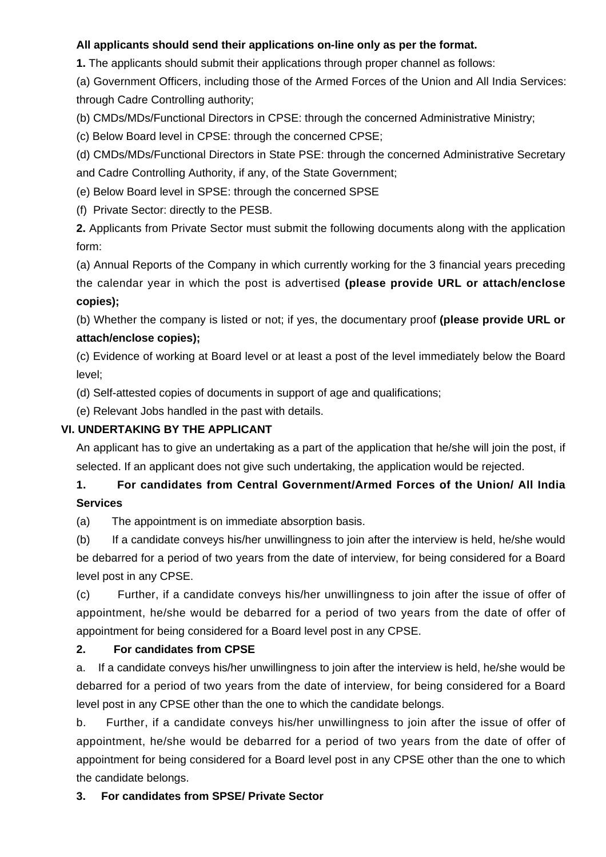# **All applicants should send their applications on-line only as per the format.**

**1.** The applicants should submit their applications through proper channel as follows:

(a) Government Officers, including those of the Armed Forces of the Union and All India Services: through Cadre Controlling authority;

(b) CMDs/MDs/Functional Directors in CPSE: through the concerned Administrative Ministry;

(c) Below Board level in CPSE: through the concerned CPSE;

(d) CMDs/MDs/Functional Directors in State PSE: through the concerned Administrative Secretary and Cadre Controlling Authority, if any, of the State Government;

(e) Below Board level in SPSE: through the concerned SPSE

(f) Private Sector: directly to the PESB.

**2.** Applicants from Private Sector must submit the following documents along with the application form:

(a) Annual Reports of the Company in which currently working for the 3 financial years preceding the calendar year in which the post is advertised **(please provide URL or attach/enclose copies);**

(b) Whether the company is listed or not; if yes, the documentary proof **(please provide URL or attach/enclose copies);**

(c) Evidence of working at Board level or at least a post of the level immediately below the Board level;

(d) Self-attested copies of documents in support of age and qualifications;

(e) Relevant Jobs handled in the past with details.

# **VI. UNDERTAKING BY THE APPLICANT**

An applicant has to give an undertaking as a part of the application that he/she will join the post, if selected. If an applicant does not give such undertaking, the application would be rejected.

# **1. For candidates from Central Government/Armed Forces of the Union/ All India Services**

(a) The appointment is on immediate absorption basis.

(b) If a candidate conveys his/her unwillingness to join after the interview is held, he/she would be debarred for a period of two years from the date of interview, for being considered for a Board level post in any CPSE.

(c) Further, if a candidate conveys his/her unwillingness to join after the issue of offer of appointment, he/she would be debarred for a period of two years from the date of offer of appointment for being considered for a Board level post in any CPSE.

### **2. For candidates from CPSE**

a. If a candidate conveys his/her unwillingness to join after the interview is held, he/she would be debarred for a period of two years from the date of interview, for being considered for a Board level post in any CPSE other than the one to which the candidate belongs.

b. Further, if a candidate conveys his/her unwillingness to join after the issue of offer of appointment, he/she would be debarred for a period of two years from the date of offer of appointment for being considered for a Board level post in any CPSE other than the one to which the candidate belongs.

# **3. For candidates from SPSE/ Private Sector**